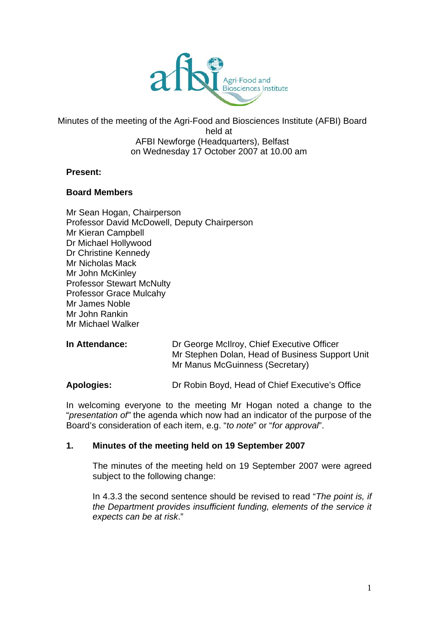

#### Minutes of the meeting of the Agri-Food and Biosciences Institute (AFBI) Board held at AFBI Newforge (Headquarters), Belfast on Wednesday 17 October 2007 at 10.00 am

#### **Present:**

#### **Board Members**

Mr Sean Hogan, Chairperson Professor David McDowell, Deputy Chairperson Mr Kieran Campbell Dr Michael Hollywood Dr Christine Kennedy Mr Nicholas Mack Mr John McKinley Professor Stewart McNulty Professor Grace Mulcahy Mr James Noble Mr John Rankin Mr Michael Walker

| <b>In Attendance:</b> | Dr George McIlroy, Chief Executive Officer<br>Mr Stephen Dolan, Head of Business Support Unit<br>Mr Manus McGuinness (Secretary) |
|-----------------------|----------------------------------------------------------------------------------------------------------------------------------|
|                       |                                                                                                                                  |

**Apologies:** Dr Robin Boyd, Head of Chief Executive's Office

In welcoming everyone to the meeting Mr Hogan noted a change to the "*presentation of"* the agenda which now had an indicator of the purpose of the Board's consideration of each item, e.g. "*to note*" or "*for approval*".

#### **1. Minutes of the meeting held on 19 September 2007**

The minutes of the meeting held on 19 September 2007 were agreed subject to the following change:

In 4.3.3 the second sentence should be revised to read "*The point is, if the Department provides insufficient funding, elements of the service it expects can be at risk*."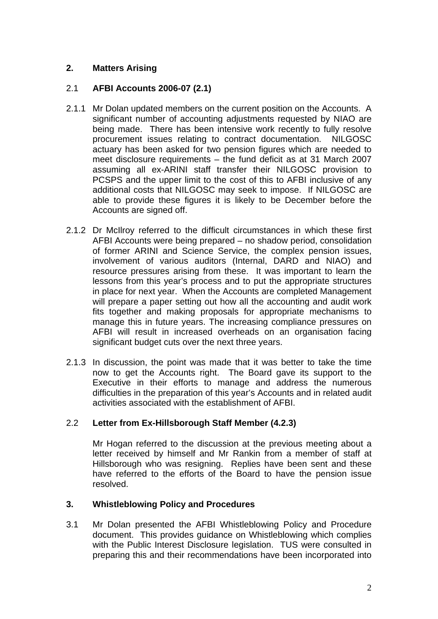# **2. Matters Arising**

# 2.1 **AFBI Accounts 2006-07 (2.1)**

- 2.1.1 Mr Dolan updated members on the current position on the Accounts. A significant number of accounting adjustments requested by NIAO are being made. There has been intensive work recently to fully resolve procurement issues relating to contract documentation. NILGOSC actuary has been asked for two pension figures which are needed to meet disclosure requirements – the fund deficit as at 31 March 2007 assuming all ex-ARINI staff transfer their NILGOSC provision to PCSPS and the upper limit to the cost of this to AFBI inclusive of any additional costs that NILGOSC may seek to impose. If NILGOSC are able to provide these figures it is likely to be December before the Accounts are signed off.
- 2.1.2 Dr McIlroy referred to the difficult circumstances in which these first AFBI Accounts were being prepared – no shadow period, consolidation of former ARINI and Science Service, the complex pension issues, involvement of various auditors (Internal, DARD and NIAO) and resource pressures arising from these. It was important to learn the lessons from this year's process and to put the appropriate structures in place for next year. When the Accounts are completed Management will prepare a paper setting out how all the accounting and audit work fits together and making proposals for appropriate mechanisms to manage this in future years. The increasing compliance pressures on AFBI will result in increased overheads on an organisation facing significant budget cuts over the next three years.
- 2.1.3 In discussion, the point was made that it was better to take the time now to get the Accounts right. The Board gave its support to the Executive in their efforts to manage and address the numerous difficulties in the preparation of this year's Accounts and in related audit activities associated with the establishment of AFBI.

# 2.2 **Letter from Ex-Hillsborough Staff Member (4.2.3)**

Mr Hogan referred to the discussion at the previous meeting about a letter received by himself and Mr Rankin from a member of staff at Hillsborough who was resigning. Replies have been sent and these have referred to the efforts of the Board to have the pension issue resolved.

# **3. Whistleblowing Policy and Procedures**

3.1 Mr Dolan presented the AFBI Whistleblowing Policy and Procedure document. This provides guidance on Whistleblowing which complies with the Public Interest Disclosure legislation. TUS were consulted in preparing this and their recommendations have been incorporated into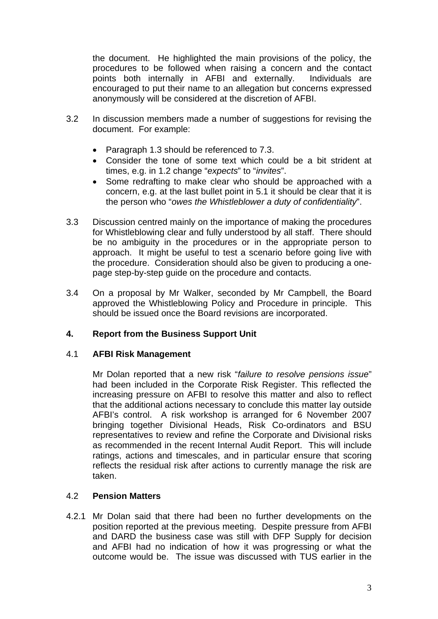the document. He highlighted the main provisions of the policy, the procedures to be followed when raising a concern and the contact points both internally in AFBI and externally. Individuals are encouraged to put their name to an allegation but concerns expressed anonymously will be considered at the discretion of AFBI.

- 3.2 In discussion members made a number of suggestions for revising the document. For example:
	- Paragraph 1.3 should be referenced to 7.3.
	- Consider the tone of some text which could be a bit strident at times, e.g. in 1.2 change "*expects*" to "*invites*".
	- Some redrafting to make clear who should be approached with a concern, e.g. at the last bullet point in 5.1 it should be clear that it is the person who "*owes the Whistleblower a duty of confidentiality*".
- 3.3 Discussion centred mainly on the importance of making the procedures for Whistleblowing clear and fully understood by all staff. There should be no ambiguity in the procedures or in the appropriate person to approach. It might be useful to test a scenario before going live with the procedure. Consideration should also be given to producing a onepage step-by-step guide on the procedure and contacts.
- 3.4 On a proposal by Mr Walker, seconded by Mr Campbell, the Board approved the Whistleblowing Policy and Procedure in principle. This should be issued once the Board revisions are incorporated.

## **4. Report from the Business Support Unit**

## 4.1 **AFBI Risk Management**

Mr Dolan reported that a new risk "*failure to resolve pensions issue*" had been included in the Corporate Risk Register. This reflected the increasing pressure on AFBI to resolve this matter and also to reflect that the additional actions necessary to conclude this matter lay outside AFBI's control. A risk workshop is arranged for 6 November 2007 bringing together Divisional Heads, Risk Co-ordinators and BSU representatives to review and refine the Corporate and Divisional risks as recommended in the recent Internal Audit Report. This will include ratings, actions and timescales, and in particular ensure that scoring reflects the residual risk after actions to currently manage the risk are taken.

## 4.2 **Pension Matters**

4.2.1 Mr Dolan said that there had been no further developments on the position reported at the previous meeting. Despite pressure from AFBI and DARD the business case was still with DFP Supply for decision and AFBI had no indication of how it was progressing or what the outcome would be. The issue was discussed with TUS earlier in the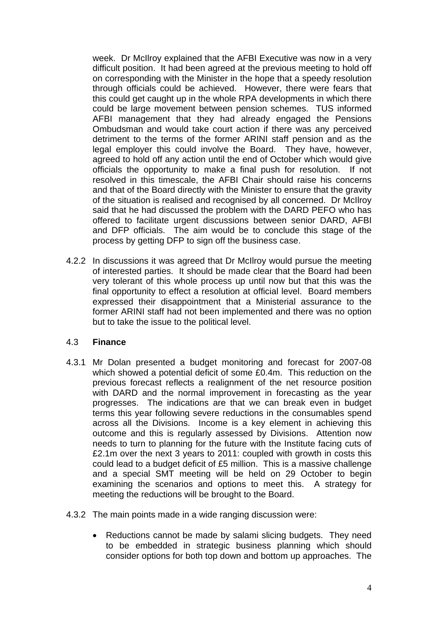week. Dr McIlroy explained that the AFBI Executive was now in a very difficult position. It had been agreed at the previous meeting to hold off on corresponding with the Minister in the hope that a speedy resolution through officials could be achieved. However, there were fears that this could get caught up in the whole RPA developments in which there could be large movement between pension schemes. TUS informed AFBI management that they had already engaged the Pensions Ombudsman and would take court action if there was any perceived detriment to the terms of the former ARINI staff pension and as the legal employer this could involve the Board. They have, however, agreed to hold off any action until the end of October which would give officials the opportunity to make a final push for resolution. If not resolved in this timescale, the AFBI Chair should raise his concerns and that of the Board directly with the Minister to ensure that the gravity of the situation is realised and recognised by all concerned. Dr McIlroy said that he had discussed the problem with the DARD PEFO who has offered to facilitate urgent discussions between senior DARD, AFBI and DFP officials. The aim would be to conclude this stage of the process by getting DFP to sign off the business case.

4.2.2 In discussions it was agreed that Dr McIlroy would pursue the meeting of interested parties. It should be made clear that the Board had been very tolerant of this whole process up until now but that this was the final opportunity to effect a resolution at official level. Board members expressed their disappointment that a Ministerial assurance to the former ARINI staff had not been implemented and there was no option but to take the issue to the political level.

## 4.3 **Finance**

- 4.3.1 Mr Dolan presented a budget monitoring and forecast for 2007-08 which showed a potential deficit of some £0.4m. This reduction on the previous forecast reflects a realignment of the net resource position with DARD and the normal improvement in forecasting as the year progresses. The indications are that we can break even in budget terms this year following severe reductions in the consumables spend across all the Divisions. Income is a key element in achieving this outcome and this is regularly assessed by Divisions. Attention now needs to turn to planning for the future with the Institute facing cuts of £2.1m over the next 3 years to 2011: coupled with growth in costs this could lead to a budget deficit of £5 million. This is a massive challenge and a special SMT meeting will be held on 29 October to begin examining the scenarios and options to meet this. A strategy for meeting the reductions will be brought to the Board.
- 4.3.2 The main points made in a wide ranging discussion were:
	- Reductions cannot be made by salami slicing budgets. They need to be embedded in strategic business planning which should consider options for both top down and bottom up approaches. The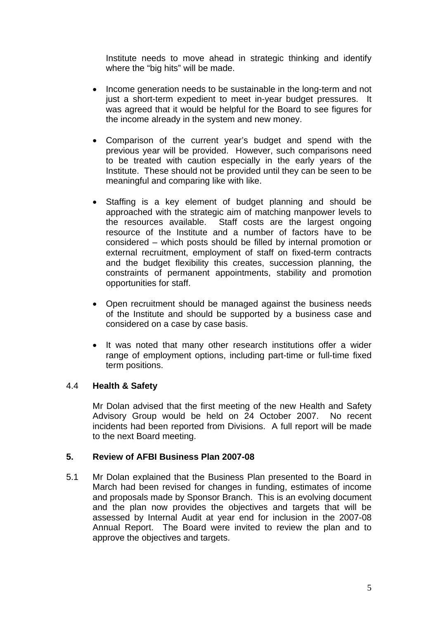Institute needs to move ahead in strategic thinking and identify where the "big hits" will be made.

- Income generation needs to be sustainable in the long-term and not just a short-term expedient to meet in-year budget pressures. It was agreed that it would be helpful for the Board to see figures for the income already in the system and new money.
- Comparison of the current year's budget and spend with the previous year will be provided. However, such comparisons need to be treated with caution especially in the early years of the Institute. These should not be provided until they can be seen to be meaningful and comparing like with like.
- Staffing is a key element of budget planning and should be approached with the strategic aim of matching manpower levels to the resources available. Staff costs are the largest ongoing resource of the Institute and a number of factors have to be considered – which posts should be filled by internal promotion or external recruitment, employment of staff on fixed-term contracts and the budget flexibility this creates, succession planning, the constraints of permanent appointments, stability and promotion opportunities for staff.
- Open recruitment should be managed against the business needs of the Institute and should be supported by a business case and considered on a case by case basis.
- It was noted that many other research institutions offer a wider range of employment options, including part-time or full-time fixed term positions.

## 4.4 **Health & Safety**

Mr Dolan advised that the first meeting of the new Health and Safety Advisory Group would be held on 24 October 2007. No recent incidents had been reported from Divisions. A full report will be made to the next Board meeting.

## **5. Review of AFBI Business Plan 2007-08**

5.1 Mr Dolan explained that the Business Plan presented to the Board in March had been revised for changes in funding, estimates of income and proposals made by Sponsor Branch. This is an evolving document and the plan now provides the objectives and targets that will be assessed by Internal Audit at year end for inclusion in the 2007-08 Annual Report. The Board were invited to review the plan and to approve the objectives and targets.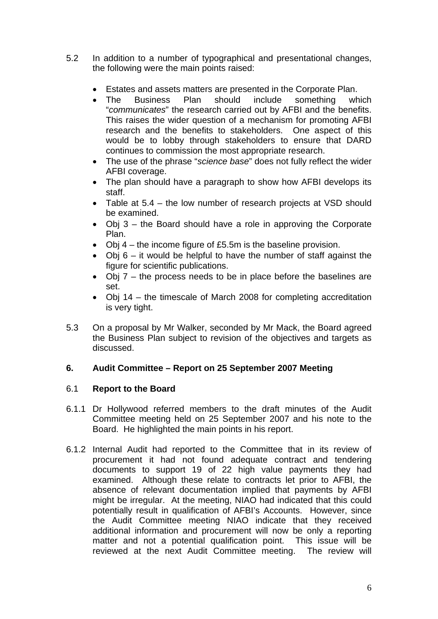- 5.2 In addition to a number of typographical and presentational changes, the following were the main points raised:
	- Estates and assets matters are presented in the Corporate Plan.
	- "communicates" the research carried out by AFBI and the benefits. • The Business Plan should include something which This raises the wider question of a mechanism for promoting AFBI research and the benefits to stakeholders. One aspect of this would be to lobby through stakeholders to ensure that DARD continues to commission the most appropriate research.
	- The use of the phrase "*science base*" does not fully reflect the wider AFBI coverage.
	- The plan should have a paragraph to show how AFBI develops its staff.
	- Table at  $5.4$  the low number of research projects at VSD should be examined.
	- Obj  $3$  the Board should have a role in approving the Corporate Plan.
	- Obj  $4$  the income figure of £5.5m is the baseline provision.
	- Obj  $6 it$  would be helpful to have the number of staff against the figure for scientific publications.
	- Obj  $7$  the process needs to be in place before the baselines are set.
	- Obj 14 the timescale of March 2008 for completing accreditation is very tight.
- 5.3 On a proposal by Mr Walker, seconded by Mr Mack, the Board agreed the Business Plan subject to revision of the objectives and targets as discussed.

## **6. Audit Committee – Report on 25 September 2007 Meeting**

## 6.1 **Report to the Board**

- 6.1.1 Dr Hollywood referred members to the draft minutes of the Audit Committee meeting held on 25 September 2007 and his note to the Board. He highlighted the main points in his report.
- 6.1.2 Internal Audit had reported to the Committee that in its review of procurement it had not found adequate contract and tendering documents to support 19 of 22 high value payments they had examined. Although these relate to contracts let prior to AFBI, the absence of relevant documentation implied that payments by AFBI might be irregular. At the meeting, NIAO had indicated that this could potentially result in qualification of AFBI's Accounts. However, since the Audit Committee meeting NIAO indicate that they received additional information and procurement will now be only a reporting matter and not a potential qualification point. This issue will be reviewed at the next Audit Committee meeting. The review will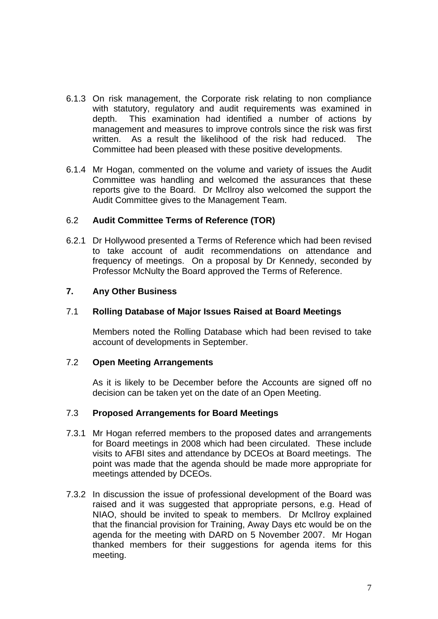- 6.1.3 On risk management, the Corporate risk relating to non compliance with statutory, regulatory and audit requirements was examined in depth. This examination had identified a number of actions by management and measures to improve controls since the risk was first written. As a result the likelihood of the risk had reduced. The Committee had been pleased with these positive developments.
- 6.1.4 Mr Hogan, commented on the volume and variety of issues the Audit Committee was handling and welcomed the assurances that these reports give to the Board. Dr McIlroy also welcomed the support the Audit Committee gives to the Management Team.

## 6.2 **Audit Committee Terms of Reference (TOR)**

6.2.1 Dr Hollywood presented a Terms of Reference which had been revised to take account of audit recommendations on attendance and frequency of meetings. On a proposal by Dr Kennedy, seconded by Professor McNulty the Board approved the Terms of Reference.

#### **7. Any Other Business**

#### 7.1 **Rolling Database of Major Issues Raised at Board Meetings**

Members noted the Rolling Database which had been revised to take account of developments in September.

#### 7.2 **Open Meeting Arrangements**

As it is likely to be December before the Accounts are signed off no decision can be taken yet on the date of an Open Meeting.

#### 7.3 **Proposed Arrangements for Board Meetings**

- 7.3.1 Mr Hogan referred members to the proposed dates and arrangements for Board meetings in 2008 which had been circulated. These include visits to AFBI sites and attendance by DCEOs at Board meetings. The point was made that the agenda should be made more appropriate for meetings attended by DCEOs.
- 7.3.2 In discussion the issue of professional development of the Board was raised and it was suggested that appropriate persons, e.g. Head of NIAO, should be invited to speak to members. Dr McIlroy explained that the financial provision for Training, Away Days etc would be on the agenda for the meeting with DARD on 5 November 2007. Mr Hogan thanked members for their suggestions for agenda items for this meeting.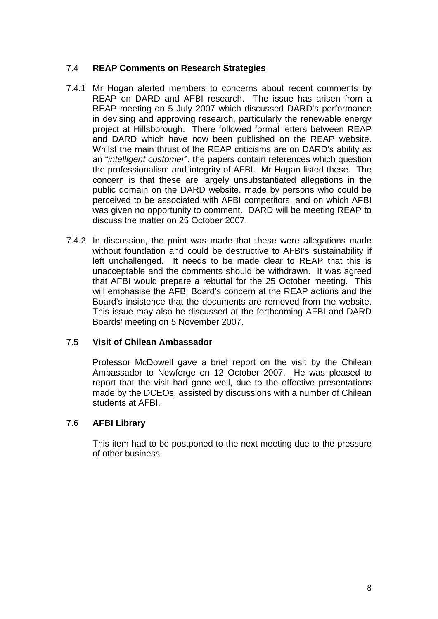## 7.4 **REAP Comments on Research Strategies**

- and DARD which have now been published on the REAP website. 7.4.1 Mr Hogan alerted members to concerns about recent comments by REAP on DARD and AFBI research. The issue has arisen from a REAP meeting on 5 July 2007 which discussed DARD's performance in devising and approving research, particularly the renewable energy project at Hillsborough. There followed formal letters between REAP Whilst the main thrust of the REAP criticisms are on DARD's ability as an "*intelligent customer*", the papers contain references which question the professionalism and integrity of AFBI. Mr Hogan listed these. The concern is that these are largely unsubstantiated allegations in the public domain on the DARD website, made by persons who could be perceived to be associated with AFBI competitors, and on which AFBI was given no opportunity to comment. DARD will be meeting REAP to discuss the matter on 25 October 2007.
- 7.4.2 In discussion, the point was made that these were allegations made without foundation and could be destructive to AFBI's sustainability if left unchallenged. It needs to be made clear to REAP that this is unacceptable and the comments should be withdrawn. It was agreed that AFBI would prepare a rebuttal for the 25 October meeting. This will emphasise the AFBI Board's concern at the REAP actions and the Board's insistence that the documents are removed from the website. This issue may also be discussed at the forthcoming AFBI and DARD Boards' meeting on 5 November 2007.

## 7.5 **Visit of Chilean Ambassador**

Professor McDowell gave a brief report on the visit by the Chilean Ambassador to Newforge on 12 October 2007. He was pleased to report that the visit had gone well, due to the effective presentations made by the DCEOs, assisted by discussions with a number of Chilean students at AFBI.

# 7.6 **AFBI Library**

This item had to be postponed to the next meeting due to the pressure of other business.